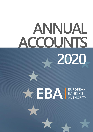# **ANNUAL ACCOUNTS 2020**

# **ACCEPTA BANKING**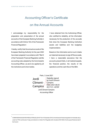## Accounting Officer's Certificate

## on the Annual Accounts

I acknowledge my responsibility for the preparation and presentation of the annual accounts of the European Banking Authority in accordance with Article 102 of the Framework Financial Regulation1.

I hereby certify that the annual accounts of the European Banking Authority for the year 2020 have been prepared in accordance with Title IX of the Framework Financial Regulation and the accounting rules adopted by the Commission's Accounting Officer, as are to be applied by all the institutions and Union bodies.

I have obtained from the Authorising Officer, who certified its reliability, all the information necessary for the production of the accounts that show the European Banking Authority's assets and liabilities and the budgetary implementation.

Based on this information and on such checks as I deemed necessary to sign off the accounts, I have a reasonable assurance that the accounts present fairly, in all material aspects, the financial position, the results of the operations and the cash-flow of the EBA.

Paris, 3 June 2021 Jordi Climent-**Campins** Digitally signed by Jordi Climent-**Campins** Date: 2021.06.03 20:17:31 +02'00'

> Jordi Climent-Campins Accounting Officer

COMMISSION DELEGATED REGULATION (EU) 2019/715 of 18 December 2018 on the framework financial regulation for the bodies set up under the TFEU and Euratom Treaty and referred to in Article 70 of Regulation (EU, Euratom) 2018/1046 of the European Parliament and of the Council. 1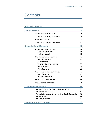## **Contents**

| <b>Background information</b>                             | 5  |
|-----------------------------------------------------------|----|
| <b>Financial Statements</b>                               | 7  |
| Statement of financial position                           | 7  |
| Statement of financial performance                        | 8  |
| Cash flow statement                                       | 9  |
| Statement of changes in net assets                        | 10 |
| <b>Notes to the Financial Statements</b>                  | 11 |
| Significant accounting policies                           | 11 |
| Accounting principles                                     | 11 |
| Basis of preparation                                      | 11 |
| Statement of financial position                           | 20 |
| Non-current assets                                        | 20 |
| Current assets                                            | 22 |
| Provisions for risks and charges                          | 23 |
| Deferred revenue                                          | 24 |
| Current payables                                          | 26 |
| Statement of financial performance                        | 27 |
| Operating result                                          | 27 |
| Non-operating result                                      | 28 |
| Other significant disclosures                             | 29 |
| Financial risk management                                 | 31 |
| <b>Budget implementation reports</b>                      | 33 |
| Budget principles, structure and implementation           | 33 |
| Budget result for the year                                | 39 |
| Reconciliation between the economic and budgetary results | 40 |
| <b>Budget transfers</b>                                   | 41 |
| <b>Budgetary execution</b>                                | 42 |
| <b>Financial Systems and Management</b>                   | 45 |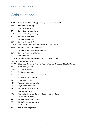# Abbreviations

| <b>ABAC</b>  | Accrual Based Accounting (accounting system used at the EBA)                        |
|--------------|-------------------------------------------------------------------------------------|
| <b>AML</b>   | Anti-money laundering                                                               |
| <b>BoS</b>   | <b>Board of Supervisors</b>                                                         |
| CA           | Commitment appropriations                                                           |
| EBA          | <b>European Banking Authority</b>                                                   |
| <b>EC</b>    | European Commission                                                                 |
| <b>ECB</b>   | European Central Bank                                                               |
| EEA          | European Economic Area                                                              |
| <b>EIOPA</b> | European Insurance and Occupational Pensions Authority                              |
| <b>ESAs</b>  | <b>European Supervisory Authorities</b>                                             |
| ESMA         | <b>European Securities and Markets Authority</b>                                    |
| <b>ESP</b>   | European Supervisory Platform                                                       |
| EU           | European Union                                                                      |
|              | EUCLID European Centralised Infrastructure for Supervisory Data                     |
|              | FinTech Financial technology                                                        |
| <b>FISMA</b> | Directorate-General for Financial Stability, Financial Services and Capital Markets |
| <b>FR</b>    | <b>Financial Regulation</b>                                                         |
| <b>FWC</b>   | <b>Framework Contract</b>                                                           |
| FX.          | Foreign exchange rate                                                               |
| <b>ICT</b>   | Information and communication technologies                                          |
| IT           | Information and technology                                                          |
| MВ           | <b>Management Board</b>                                                             |
| <b>NCA</b>   | <b>National Competent Authority</b>                                                 |
| <b>PA</b>    | Payment appropriations                                                              |
| <b>PSD</b>   | <b>Payment Services Directive</b>                                                   |
| P&L          | Profit and loss account                                                             |
| <b>RAL</b>   | Reste à liquider (share of a committed amount not yet paid)                         |
| SI           | <b>Significant Institutions</b>                                                     |
| <b>SPD</b>   | <b>Single Programming Document</b>                                                  |
| <b>SSM</b>   | Single Supervisory Mechanism                                                        |
| <b>UK</b>    | The United Kingdom                                                                  |
| <b>WP</b>    | Annual Work Programme                                                               |
|              |                                                                                     |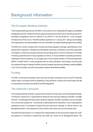# Background information

## The European Banking Authority

The European Banking Authority ('the EBA' or 'the Authority') is an independent EU agency established by Regulation (EU) No 1093/2010 of the European Parliament and of the Council of 24 November 2010, amended by Regulations (EU) No 1022/2013, No 2018/1717 and No 2019/2175 of the European Parliament and of the Council. The EBA started its operations on 1 January 2011, taking over all existing and ongoing tasks and responsibilities from the Committee of European Banking Supervisors (CEBS).

The EBA has a broad mandate which includes preventing regulatory arbitrage, guaranteeing a level playing field in regulation, strengthening international supervisory coordination, promoting supervisory convergence, enhancing consumer protection and providing advice to the EU institutions in the areas of banking, payments and e-money regulation as well as on issues related to corporate governance, auditing and financial reporting. As an integral part of the European System of Financial Supervisors (ESFS), the EBA works in close cooperation with its sister authorities, the European Insurance and Occupational Pensions Authority (EIOPA) and the European Securities and Markets Authority (ESMA) in the Joint Committee, and with the European Systemic Risks Board (ESRB).

## **Funding**

The EBA is financed by European Union funds and through contributions by EU and EFTA Member States made in accordance with the weighting of votes laid down in Article 3(3) of the Protocol (No 36) on transnational transitions (recital 68 of the EBA Regulation).

## The Authority's structure

The European Banking Authority is governed by its Board of Supervisors and its Management Board. The Board of Supervisors is responsible for taking the main decisions relating to the EBA's mandate and work. The Management Board takes decisions relating to the EBA's operations and the execution of its annual work programme. The Authority is represented by the Chairperson, who is responsible for preparing the work of the Board of Supervisors and chairing its meetings, as well as those of the Management Board. The Chairperson's term of office is five years and may be extended once.

The EBA Executive Director is in charge of the implementation of the annual work programme under the guidance of the Board of Supervisors and under the control of the Management Board. The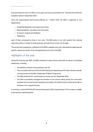Executive Director's term of office is five years and may be extended once. The Executive Director's mandate started in September 2020.

Since the organisational restructuring effective on 1 March 2018, the EBA is organised in four departments:

- $\Rightarrow$  Prudential Regulation and Supervisory Policy;
- $\Rightarrow$  Banking Markets, Innovation and Consumers;
- $\Rightarrow$  Economic Analysis and Statistics;
- $\Rightarrow$  Operations;

each of them composed by three or four units. The EBA works in turn with experts from national authorities within a number of working groups and task forces to carry out its tasks.

The annual work programme, published on the EBA's website every year, describes the objectives and specific tasks to be carried out by the departments and units of the EBA.

## Highlights of the year

During the financial year 2020, the EBA underwent a series of key events with an impact in its financial statements, including:

- $\Rightarrow$  The definitive closure of the premises in the UK;
- $\Rightarrow$  The successful delivery of EUCLID WS3 Resolution Reporting and SI data collection and the commencement of the EBA Collaboration Platform Programme;
- $\Rightarrow$  The EBA joined the EC central treasury services as from September 2020;
- $\Rightarrow$  The EBA successfully managed the transition to full remote setting during the coronavirus outbreak and ensured smooth operations and safety of its staff during the whole period with no disruption of its support services;

In summary, a total of EUR 49,367 thousand were paid in 2020, representing a 7.6% increase in relation to the previous reporting period.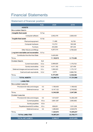# Financial Statements

## Statement of financial position

|                                        | <b>Note</b> | 2020       | 2019        |
|----------------------------------------|-------------|------------|-------------|
| <b>ASSETS</b>                          |             |            |             |
| <b>NON-CURRENT ASSETS</b>              |             |            |             |
| Intangible fixed assets                | II.1.a      |            |             |
| Computer software                      |             | 2,942,476  | 2,828,430   |
| Tangible fixed assets                  | II.1.b      |            |             |
| Plant and equipment                    |             | 11,466     | 16,755      |
| Computer hardware                      |             | 112,701    | 160,326     |
| Furniture                              |             | 443,658    | 397,444     |
| Other fixtures and fittings            |             | 4,257,514  | 4,769,529   |
| Long term receivables and recoverables | II.1.c      |            |             |
| Contribution from the Host State       |             | 3,425,000  |             |
| <b>TOTAL</b>                           |             | 11,192,815 | 8,172,484   |
| <b>CURRENT ASSETS</b>                  | II.2        |            |             |
| <b>Current receivables</b>             | II.2.a      | 2,069,625  | 1,179,703   |
| Sundry receivables                     | II.2.b      | 4,411,182  | 227,459     |
| Deferred charges and accrued income    | II.2.c      | 1,590,523  | 1,175,137   |
| Cash and cash equivalents              | II.2.d      | 2,574      | 6,966,785   |
| <b>TOTAL</b>                           |             | 8,073,903  | 9,549,084   |
| <b>TOTAL ASSETS</b>                    |             | 19,266,718 | 17,721,568  |
| <b>LIABILITIES</b>                     |             |            |             |
| <b>NON-CURRENT LIABILITIES</b>         |             |            |             |
| Provisions for risks and charges       | II.3        | 1,199,405  | 1,198,402   |
| Deferred revenue                       | II.4        | 8,147,122  | 2,749,562   |
| <b>TOTAL</b>                           |             | 9,346,528  | 3,947,964   |
| <b>CURRENT LIABILITIES</b>             |             |            |             |
| Provisions for risks and charges       | II.3        | 1,514,037  | 12,262,240  |
| <b>Current payables</b>                | II.5.a      | 3,661,387  | 2,983,862   |
| Sundry payables                        | II.5.b      |            |             |
| Payables towards EU entities           | II.5.c      | 858,651    | 1,031,028   |
| Deferred revenue                       | II.4        | 1,286,600  | 2,528,076   |
| <b>TOTAL</b>                           |             | 7,320,674  | 18,805,207  |
| <b>TOTAL LIABILITIES</b>               |             | 16,667,201 | 22,753,171  |
| <b>TOTAL NET ASSETS</b>                |             | 2,599,517  | (5,031,603) |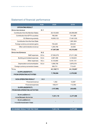## Statement of financial performance

|                                            | <b>Note</b> | 2020       | 2019       |
|--------------------------------------------|-------------|------------|------------|
| <b>OPERATING RESULT</b>                    |             |            |            |
| <b>OPERATING REVENUE</b>                   | III.1       |            |            |
| <b>Contribution from the Member States</b> |             | 28,103,650 | 26,096,889 |
| Contribution from EFTA countries           |             | 798,399    | 741,388    |
| EU Balancing subsidy                       |             | 16,955,123 | 17,461,535 |
| Contribution from the Host State           |             |            | 1,981,804  |
| Foreign currency conversion gains          |             | 745,429    | 204,041    |
| Other administrative revenue               |             | 1,294,795  | 24,836     |
| <b>TOTAL</b>                               |             | 47,897,396 | 46,510,493 |
| <b>OPERATING EXPENSES</b>                  | III.2       |            |            |
| Staff expenses                             | III.2.a     | 27,094,079 | 27,211,384 |
| Building and related expenses              | III.2.b     | 2,667,296  | 3,149,643  |
| Other expenses                             | III.2.c     | 8,133,850  | 9,181,101  |
| Depreciation and amortisation              | III.2.d     | 1,906,756  | 3,878,378  |
| Foreign currency conversion losses         |             | 306,731    | 713,401    |
| <b>TOTAL</b>                               |             | 40,108,711 | 44,133,907 |
| SURPLUS/(DEFICIT)                          |             | 7,788,684  | 2,376,585  |
| <b>FROM OPERATING ACTIVITIES</b>           |             |            |            |
|                                            |             |            |            |
| <b>NON-OPERATING RESULT</b>                | III.3       |            |            |
| Financial revenue                          |             | 1,352      | 12,597     |
| Financial expenses                         |             | 158,917    | 112,082    |
| SURPLUS/(DEFICIT)                          |             | (157, 565) | (99, 485)  |
| <b>FROM NON-OPERATING ACTIVITIES</b>       |             |            |            |
|                                            |             |            |            |
| SURPLUS/(DEFICIT)                          |             | 7,631,119  | 2,277,099  |
| <b>FROM ORDINARY ACTIVITIES</b>            |             |            |            |
| SURPLUS/(DEFICIT)                          |             |            |            |
| <b>FROM EXTRAORDINARY ITEMS</b>            |             |            |            |
|                                            |             |            |            |

| <b>ECONOMIC RESULT FOR THE YEAR</b> | $\vert 7,631,119 \vert$ | 2,277,099 |
|-------------------------------------|-------------------------|-----------|
|                                     |                         |           |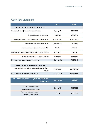## Cash flow statement

|                                                                | 2020                       | 2019          |
|----------------------------------------------------------------|----------------------------|---------------|
| <b>CASHFLOW FROM ORDINARY ACTIVITIES</b>                       |                            |               |
| SURPLUS/(DEFICIT) FROM ORDINARY ACTIVITIES                     | 7,631,119                  | 2,277,099     |
| Depreciation and amortisation                                  | 1,906,756                  | 3,878,378     |
| Increase/(decrease) in provisions for risks and liabilities    | (10,747,200)               | (1, 102, 151) |
| (Increase)/decrease in receivables                             | (8,914,030)                | (492, 585)    |
| Increase/(decrease) in accounts payable                        | 679,038                    | 472,043       |
| Increase/(decrease) in liabilities to consolidated entities    | (172, 377)                 | 774,972       |
| Increase/(decrease) in deferred income                         | 4,156,084                  | 2,150,183     |
| <b>NET CASHFLOW FROM OPERATING ACTIVITIES</b>                  | (5,460,610)                | 7,957,940     |
|                                                                |                            |               |
| <b>CASHFLOW FROM INVESTING ACTIVITIES</b>                      |                            |               |
| (Increase)/decrease in tangible and intangible fixed<br>assets | (1,503,602)                | (6,578,683)   |
| <b>NET CASHFLOW FROM INVESTING ACTIVITIES</b>                  | (1,503,602)<br>(6,578,683) |               |
|                                                                |                            |               |
| NET INCREASE/(DECREASE) IN CASH AND CASH<br><b>EQUIVALENTS</b> | (6,964,212)                | 1,379,257     |
|                                                                |                            |               |
| <b>CASH AND CASH EQUIVALENTS</b>                               | 6,966,785                  | 5,587,528     |
| AT THE BEGINNING OF THE PERIOD                                 |                            |               |
| <b>CASHAND CASH EQUIVALENTS</b>                                | 2,574                      | 6,966,785     |
| AT THE END OF THE PERIOD                                       |                            |               |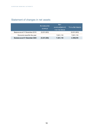## Statement of changes in net assets

|                                | <b>ACCUMULATED</b><br><b>SURPLUS</b> | <b>NFT</b><br>SURPLUS/(DEFICIT)<br><b>FOR THE PERIOD</b> | <b>TOTAL NET ASSETS</b> |
|--------------------------------|--------------------------------------|----------------------------------------------------------|-------------------------|
| Balance as at 31 December 2019 | (5,031,603)                          |                                                          | (5,031,603)             |
| Economic result for the year   |                                      | 7,631,119                                                | 7,631,119               |
| Balance as at 31 December 2020 | (5,031,603)                          | 7,631,119                                                | 2,559,516               |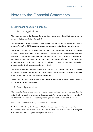# Notes to the Financial Statements

## I. Significant accounting policies

#### 1. Accounting principles

The annual accounts of the European Banking Authority comprise the financial statements and the reports on the implementation of the budget.

The objective of the annual accounts is to provide information on the financial position, performance and cash flows of the EBA in a way that is useful to a wide range of stakeholders and other users.

The overall considerations (or accounting principles) to be followed when preparing the financial statements are laid down in the EU Accounting Rule 1 'Financial Statements' and are the same as those described in IPSAS 1: fair presentation, accrual basis, going concern, consistency of presentation, materiality, aggregation, offsetting, prudence and comparative information. The qualitative characteristics of the financial reporting are relevance, faithful representation (reliability), understandability, timeliness, comparability and verifiability.

The financial statements show all charges and income for the financial year, based on accrual accounting rules that comply with the EU Accounting Rules, and are designed to establish the financial position in the form of a balance sheet as at 31 December.

The budgetary accounts give a detailed picture of the implementation of the budget. They are based on a modified cash accounting principle.

#### 2. Basis of preparation

The financial statements are prepared on a going concern basis as there is no indication that the Authority will not continue to operate in its current state for the twelve months from the date of establishing these accounts. The reporting period elapses between 1 January to 31 December.

Withdrawal of the United Kingdom from the EU – Brexit

On 29 March 2017, the United Kingdom notified the European Council of its decision to withdraw from the European Union. On 20 November 2017, the General Affairs Council of the European Union agreed to move the seat of the European Banking Authority to Paris.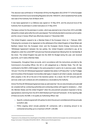This decision was confirmed on 14 November 2018 by the Regulation (EU) 2018/1717 of the European Parliament and of the Council amending Regulation (EU) No 1093/2010, which establishes Paris as the new seat of the Authority from 30 March 2019.

A new lease agreement in La Défense was signed on 10 May 2019, and the physical move of the Authority from its premises in London took place on 31 May 2019.

The lease contract for the premises in London, which was planned to be in force from 2014 until 2026, allowed for a break option after the sixth year elapsed. The Authority decided to exercise such an option, and the venue in Canary Wharf was effectively closed on 7 December 2020.

The United Kingdom ceased to be a Member State of the European Union on 1 February 2020. Following the conclusion of an Agreement on the withdrawal of the United Kingdom of Great Britain and Northern Ireland from the European Union and the European Atomic Energy Community (the 'Withdrawal Agreement') between the two parties, the United Kingdom committed to pay all its obligations under the current MFF and previous financial perspectives following from its membership of the Union. The United Kingdom has paid into the 2020 EU Budget during the year, and received payments, as if it were a Member State.

Consequently, throughout these accounts, and in accordance with the instructions provided by the Commission's Accounting Officer, the UK is still categorised as a Member State. The UK has contributed to the EBA's 2020 budget in the same proportion it used to do in previous years. Articles 104 and 119 of the UK Withdrawal Agreement <sup>2</sup> establish that article 3 of Protocol No 7 on the Privileges and Immunities of the European Communities shall apply in respect to all Union's assets, revenues and other property in the UK at the end of the transition period. As a result, the VAT amounts paid for services under such contracts are still considered as a receivable by the Authority.

Article 76 of the UK Withdrawal Agreement does as well state that "the non-discrimination principle shall be complied with by contracting authorities and contracting entities with regard to tenderers […] from the Member States and the United Kingdom" when the procurement procedure impacted is fed by appropriations stemming from the 2014-2020 Multiannual Financial Framework. At the reporting date of these accounts, the EBA, in its quality as Authorising Officer, had:

- $\Rightarrow$  Specific contracts signed with UK parties for which the amount committed and still due amounts to EUR 61,400;
- $\Rightarrow$  FWCs ongoing which include potential UK contractors, with a remaining amount to be contracted amounting up to a maximum of EUR 1,234,000;

<sup>&</sup>lt;sup>2</sup> Agreement on the withdrawal of the United Kingdom of Great Britain and Northern Ireland from the European Union and the European Atomic Energy Community of 12 November 2019 (2019/C 384 I/01 – Official Journal of the European Union).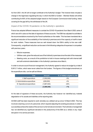As from 2021, the UK will no longer contribute to the Authority's budget. This however does not pose a change in the legal base regulating the way in which the EBA is funded – Member States will still be contributing for 60% of the adopted budget based on the European Commission total funding, hence covering for the gap left by the withdrawal of the UK.

#### Impact of the COVID-19 pandemic on the Authority's operations

France has adopted different measures to combat the COVID-19 pandemic from March 2020, some of which are still in place at the date of signature of these accounts. The EBA has adjusted its activities to the recommendations received by the French authorities on the matter. This has been translated into a significant reduction of the availability of the Authority's premises and of the capacity of staff to travel for work matters. These measures have as well slowed down the EBA's ability to hire new staff. Consequently, a significant reduction can be seen in the following categories of expenses in comparison with previous years:

- $\Rightarrow$  Mission expenses;
- $\Rightarrow$  Utilities costs, given the reduced use of the Authority's premises since the start of the measures;
- $\Rightarrow$  Meeting costs, as a result of the prohibition to hold in-house meetings both with internal staff and with external stakeholders in the Authority's premises since March;

In order to ensure sound financial management, the Authority agreed to reduce its budget by a total of EUR 3.7 million, which were never called from the funders. The figures of this budget amendment, on the expenditure side, can be split as follows:

| Title                          | <b>Amount</b> | % of initially budgeted by title |
|--------------------------------|---------------|----------------------------------|
| I: Staff expenditure           | (1,550,500)   | $-5\%$                           |
| II: Administrative expenditure | (228,000)     | $-2\%$                           |
| III: Operational expenditure   | (1,887,500)   | $-26%$                           |
|                                | (3,666,000)   | $-7%$                            |

At the date of signature of these accounts, the Authority has however not identified any material degradation of its assets and liabilities at the reporting date.

All EBA staff has been required to work remotely as a default set up since 12 March 2020. This has involved a learning curve to its personnel, which required adjusting the existing procedures in order to successfully achieve the needs of the service in a full remote environment. The Authority's management has not identified any significant deviation in the productivity of the EBA as a whole or any major disruption in its service provision.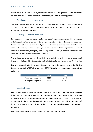Whilst uncertain, it is deemed unlikely that the impact of the COVID-19 pandemic will have a material adverse effect on the Authority's financial condition or liquidity in future reporting periods.

#### Functional and reporting currency

The euro is the functional and reporting currency of the Authority and amounts shown in the financial statements are presented in euros (EUR) unless indicated otherwise. Any slight differences versus the actual balances are due to rounding.

#### Currency and basis for conversion

Foreign currency transactions are recorded in euros using the exchange rates prevailing at the dates of the transactions. Foreign exchange gains and losses resulting from the settlement of foreign currency transactions and from the re-translation at year-end exchange rates of monetary assets and liabilities denominated in foreign currencies are recognised in the statement of financial performance. Different conversion methods apply to property, plant and equipment and intangible assets, which retain their value in euros at the date when they were purchased.

Year-end balances of monetary assets and liabilities denominated in foreign currencies are translated into euros on the basis of the European Central Bank (ECB) exchange rates applying on 31 December.

Due to its previous location in the United Kingdom, the main foreign currency used by the EBA has been the pound sterling (GBP). Exchange rates GBP/EUR used for the preparation of the accounts are as follows:

| EUR/GBP                | 2020   | 2019   |
|------------------------|--------|--------|
| Year-end exchange rate | 0.8990 | 0.8508 |
| Average exchange rate  | 0.8854 | 0.8793 |

#### Use of estimates

In accordance with IPSAS and other generally accepted accounting principles, the financial statements include amounts based on estimates and assumptions by management based on the most reliable information available. Significant estimates include, but are not limited to, amounts for provisions, accounts receivables, accrued income and charges, contingent assets and liabilities, and degree of impairment of intangible assets and property, plant and equipment. Actual results could differ from those estimates.

Changes in estimates are reflected in the period in which they become known.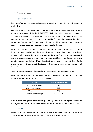#### 3. Balance sheet

#### Non-current assets

Non-current fixed assets encompass all acquisitions made since 1 January 2011 and still in use at the closing date.

Internally generated intangible assets are capitalised when the Management Board has authorised a project with an asset value higher than EUR 250 000 and when it complies with the relevant criteria laid down in the EU accounting rules. The capitalisable costs include all directly attributable costs necessary to create, produce, and prepare the asset to be capable of operating in the manner intended by management (development). Costs associated with research activities, non-capitalisable development costs and maintenance costs are recognised as expenses when incurred.

All property, plant and equipment are stated at historical cost less accumulated depreciation and impairment losses. Historical cost includes expenditure that is directly attributable to the acquisition or construction of the asset. Subsequent costs are included in the asset's carrying amount or recognised as a separate asset, as appropriate, only when it is probable that future economic benefits or service potential associated with the item will flow to the Authorityand its cost can be measured reliably. Repairs and maintenance costs are charged to the statement of financial performance during the financial period in which they are incurred.

Assets under construction are not depreciated as these assets are not yet available for use.

Fixed assets depreciation is calculated using the straight-line method to allocate their cost less their residual values over their estimated useful lives, as follows:

| Type of asset               | Straight line depreciation rate |
|-----------------------------|---------------------------------|
| Hardware and software       | 25 %                            |
| Audio-visual equipment      | 25 %                            |
| Movable furniture           | 10 $%$                          |
| Other fixtures and fittings | 10 % to 12 %                    |

Gains or losses on disposals are determined by comparing proceeds less selling expenses with the carrying amount of the disposed asset and are included in the statement of financial performance.

#### Leases

Lease of fixed assets where the Authority has substantially all the risks and rewards of ownership are classified as financial leases. There are no items to be reported under this category.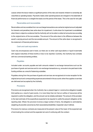Leases where the lessor retains a significant portion of the risks and rewards inherent to ownership are classified as operating leases. Payments made under operating leases are charged to the statement of financial performance on a straight-line basis over the period of the lease. This is the case for rent paid.

#### Receivables and recoverables

Receivables and recoverables from non-exchange transactions are carried at original amount (adjusted for interests and penalties) less write-down for impairment. A write-down for impairment is established when there is objective evidence that the Authority will not be able to collect all amounts due according to the original terms of the recoverables. The amount of the write-down is the difference between the asset's carrying amount and the recoverable amount. The amount of the write-down is recognised in the statement of financial performance.

#### Cash and cash equivalents

Cash only encompasses cash in hand, as there are no other cash equivalents or liquid investments with original maturities of three months or less to be reported. Currently, the Authority has contracts with two commercial banking entities.

#### Payables

Included under accounts payable are both amounts related to exchange transactions such as the purchase of goods and services and to non-exchange transactions e.g. amounts to be paid back to the funding entities as a result of balancing subsidies.

Payables arising from the purchase of goods and services are recognised at invoice reception for the original amount and corresponding expenses are entered in the accounts when the supplies or services are delivered and accepted by the Authority.

#### Provisions

Provisions are recognised when the Authority has a present legal or constructive obligation towards third parties as a result of past events, it is more likely than not that an outflow of resources will be required to settle the obligation, and the amount can be reliably estimated. The amount of the provision is the best estimate of the expenditure expected to be required to settle the present obligation at the reporting date. Where the provision involves a large number of items, the obligation is estimated by weighting all possible outcomes by their associated probabilities ('expected value' method).

Provisions for onerous contracts are measured at the present value of the lower of the expected cost of terminating the contract and the expected net cost of continuing with the contract.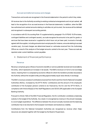#### Accrued and deferred revenue and charges

Transactions and events are recognised in the financial statements in the period to which they relate.

All revenue due to the Authority according to existing contractual arrangements and not yet cashed, will lead to the recognition of an accrued revenue in the financial statements. In addition, when the EBA has authorised and cashed amounts relating to activities not yet incurred, the revenue will be deferred and recognised in subsequent accounting periods.

In accordance with EU Accounting Rule 10 supplemented by paragraph 19 of IPSAS 19 (Provisions, contingent liabilities and contingent assets), accruals recognise the amounts to be paid for goods or services that have been received or supplied but which have not yet been paid, invoiced or formally agreed with the supplier, including amounts due to employees (for instance, amounts relating to accrued vacation pay). Accrued charges are determined based on estimates received from the Authorising Officer as a result of the analysis of the budget amounts carried to the next year. These accruals are reported under current liabilities-current payables.

#### 4. Statement of financial performance

#### Revenue

Revenue comprises gross inflows of economic benefits or service potential received and receivable by the entity, which represents an increase in net assets. The EBA's revenue is in full of a non-exchange nature, meaning that it is composed by economic inflows for which the transferor provides resources to the Authority without the recipient entity providing approximately equal value directly in exchange.

The EBA's revenue consists of contributions received from the EU and from the EUNational Competent Authorities (NCAs), increased by the EFTA NCAs' contributions and the amount of the employer's contribution of the European pension scheme to be financed by the EU and the EFTA NCAs, in compliance with Article 83(a)(2) of the Staff Regulations and CEOS (SR) applicable to the European Banking Authority.

Pursuant to Article 16(5) of the EBA Financial Regulation, the EU contribution constitutes a balancing subsidy to the budget of the Authority. As a result, it is recognised as revenue in the amount necessary to cover budget expenditure. The difference between the amount actually received and the balancing contribution has to be returned to the European Commission and booked as a liability.

Contributions from the National Competent Authorities are recognised as revenue when these resources are adopted together with the budget by the Board of Supervisors.

17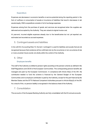#### **Expenditure**

Expenses are decreases in economic benefits or service potential during the reporting period in the form of outflows or consumption of assets or incurrence of liabilities that result in decreases in net assets/equity. EBA's expenditure consists in full of exchange expenses.

Expenses arising from the purchase of goods and services are recognised when the supplies are delivered and accepted by the Authority. They are valued at original invoice cost.

At year-end, incurred eligible expenses already due to the beneficiaries but not yet reported are estimated and recorded as accrued expenses.

#### 5. Contingent assets and liabilities

In line with EU Accounting Rule 10, the term 'contingent' is used for liabilities and assets that are not recognised because their existence will be confirmed only by the occurrence or non-occurrence of one or more uncertain future events not wholly within the control of the Authority.

6. Other

#### Employee benefits

The staff of the Authority is entitled to pension rights according to the pension scheme as defined in the Staff Regulations and CEOS of the European Communities. The corresponding pension benefits are managed and paid by the European Commission. In compliance with Article 83(a) of the SR, the contribution needed to fund the scheme is financed by the General Budget of the European Communities and no employer contribution is paid by the Authority, except for the part financed by the Member States and the EFTA National Competent Authorities pursuant to Article 83(a)(2) of the SR. As a result of this, no pension liability is recognised in the balance sheet of the Authority.

#### 7. Consolidation

The accounts of the European Banking Authority are fully consolidated with the EU annual accounts.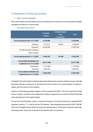## II.Statement of financial position

#### 1. Non-current assets

Non-current assets are fixed assets used and controlled by the Authority and are composed of tangible, intangible and other non-current assets.

Intangible fixed assets

|                                                             | Computer<br>software | Intangible assets<br>under<br>construction | <b>Total</b>  |
|-------------------------------------------------------------|----------------------|--------------------------------------------|---------------|
| Gross carrying amounts 01.01.2020                           | 8,439,469            |                                            | 8,439,469     |
| Additions                                                   | 1,210,314            | 95,592                                     | 1,305,906     |
| Disposals                                                   | (4,200,590)          |                                            | (4,200,590)   |
| Transfers between headings                                  |                      |                                            |               |
| Other changes                                               |                      |                                            |               |
| Gross carrying amounts 31.12.2020                           | 5,449,193            | 95,592                                     | 5,544,785     |
| Accumulated amortisation and<br>impairment as at 01.01.2020 | (5,611,039)          |                                            | (5,611,039)   |
| Amortisation                                                | (1, 191, 860)        | $\overline{\phantom{a}}$                   | (1, 191, 860) |
| <b>Disposals</b>                                            | 4,200,590            |                                            | 4,200,590     |
| Accumulated amortisation and<br>impairment as at 31.12.2020 | (2,602,309)          |                                            | (2,602,309)   |

Intangible fixed assets relate to internally generated software and computer software licences. Internally generated software corresponds to development costs incurred in the implementation of projects in relation with the mission of the Authority.

Additions of internally generated software in 2020 correspond (for EUR 1 197 374) to the EUCLID Work stream 3 project, as well as to the Collaboration Platform programme for an amount of EUR 95 592 (still under development at the reporting date).

The go-live of EUCLID Work stream 3 meant the phasing out of both the previously capitalised ESP upgrades (versions 1, 2, 4 and 6) and the CIR software. These disposals accounted for EUR 3 339 305 of the total intangible assets written off during the reporting period. At the date of disposal, these were fully depreciated, hence the net assets of the Authority were not impacted.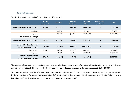#### Tangible fixed assets

Tangible fixed assets include mainly furniture, fixtures and IT equipment.

|                                                             | <b>Plant</b> and<br>equipment | <b>Furniture</b> | Computer<br>hardware     | <b>Fixtures and</b><br>fittings | <b>Assets under</b><br>construction | <b>Total</b> |
|-------------------------------------------------------------|-------------------------------|------------------|--------------------------|---------------------------------|-------------------------------------|--------------|
| Gross carrying amounts 01.01.2020                           | 34,955                        | 827,273          | 564,896                  | 15,880,281                      | $\blacksquare$                      | 17,307,406   |
| Additions                                                   | $\overline{\phantom{a}}$      | 22,878           | 31,124                   | 143,693                         | $\overline{\phantom{a}}$            | 197,696      |
| Disposals                                                   | $\overline{\phantom{a}}$      | (28,058)         | (66, 354)                | (10,581,846)                    |                                     | (10,676,258) |
| Transfers between headings                                  | $\overline{\phantom{0}}$      | $\blacksquare$   | $\overline{\phantom{a}}$ | $\overline{\phantom{a}}$        |                                     | Ξ.           |
| Gross carrying amounts 31.12.2020                           | 34,955                        | 822,094          | 529,666                  | 5,442,128                       |                                     | 6,828,843    |
| Accumulated depreciation and<br>impairment as at 01.01.2020 | (18,200)                      | (429, 829)       | (404, 570)               | (11, 110, 752)                  |                                     | (11,963,352) |
| Depreciation                                                | (5,289)                       | 23,335           | (78, 423)                | (654, 193)                      |                                     | (714, 570)   |
| Disposals                                                   |                               | 28,058           | 66,028                   | 10,580,331                      |                                     | 10,674,417   |
| Accumulated depreciation and<br>impairment as at 31.12.2020 | (23, 489)                     | (378, 436)       | (416,965)                | (1, 184, 614)                   |                                     | (2,003,504)  |

The fixtures and fittings reported by the Authority encompass, inter alia, the cost of returning the offices to their original state at the termination of the lease as requested by the contract. In this case, the estimated re-instatement cost booked as a fixed asset for the premises adds up to EUR 1 199 405.

The fixtures and fittings at the EBA's former venue in London have been disposed on 7 December 2020, when the lease agreement stopped being legally binding to the Authority. The amount disposed amounts to EUR 10 488 969. Given that the assets were fully depreciated by the time the Authority moved to Paris (June 2019), this disposal has meant no impact in the net assets of the Authority in 2020.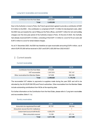#### Long-term receivables and recoverables

|                                  | 2020      | 2019                     |
|----------------------------------|-----------|--------------------------|
| Contribution from the Host State | 3,425,000 | $\overline{\phantom{0}}$ |
| Total                            | 3,425,000 | $\blacksquare$           |

Due to the Authority's move to Paris, the French government agreed to provide a contribution of EUR 8.5 million to the EBA – this contribution is comprised of EUR 1.5 million for development costs, which the EBA has put towards the cost of fitting out the Paris offices, and EUR 7 million for rent and building charges over the nine-year period of the Authority's lease in Paris. At the end of 2020, the Authority had already received EUR 4.5 million, consisting of the EUR 1.5 million to cover for fit-out costs and EUR 3 million to cover for rental related charges.

As at 31 December 2020, the EBA has therefore an open receivable amounting EUR 4 million, out of which EUR 575,000 will be received in 2021 and EUR 3,425,000 from 2022 till 2027.

#### 2. Current assets

#### Current receivables

|                                      | 2020      | 2019                     |
|--------------------------------------|-----------|--------------------------|
| Contribution from the Host State     | 575,000   | $\overline{\phantom{0}}$ |
| VAT recoverable                      | 1,347,616 | 797,147                  |
| Other receivables from Member States | 147,008   | 382,556                  |
| Total                                | 2,069,625 | 1,179,703                |

The recoverable VAT relates to payments to suppliers made during the year 2020 and still to be refunded by the UK (EUR 536 978) and French authorities. Other receivables from the Member States include outstanding contributions from NCAs at the reporting date.

For further information on the Contribution from the Host State, please refer to "Long-term receivables and recoverables (Note II.1.c).

#### Sundry receivables

|                                         | 2020      | 2019    |
|-----------------------------------------|-----------|---------|
| Amounts to be regularised from staff    | 97,737    | 160,344 |
| Amounts to recover from EU institutions | -         |         |
| Liaison bank account with the EC        | 4.300.276 |         |
| Other amounts to recover                | 13.169    | 67,114  |
| Total                                   | 4,411,182 | 227,459 |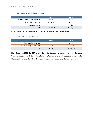#### Deferred charges and accrued income

|                                  | 2020      | 2019      |
|----------------------------------|-----------|-----------|
| Deferred charges – rent expenses | 1,184,616 | 524.454   |
| Other deferred charges           | 405,907   | 647,263   |
| Accrued income                   | -         | 3.420     |
| Total                            | 1,590,522 | 1,175,137 |

Other deferred charges relate mainly to building charges and operational expenses.

#### Cash and cash equivalents

|                           | 2020                     | 2019      |
|---------------------------|--------------------------|-----------|
| Citigroup (GBP account)   | $\overline{\phantom{0}}$ | 396,460   |
| ING Belgium (EUR account) | 2,574                    | 6,570,325 |
| Total                     | 2.574                    | 6,966,785 |

Since September 2020, the EBA is using the central treasury services provided by the European Commission. Consequently, the cash available to the Authority is now disclosed as a sundry receivable. The remaining funds at the ING bank account correspond to the balance of the imprest account.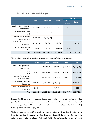#### 3. Provisions for risks and charges

|                             |            |                   | <b>Thereof</b> |                 |           |
|-----------------------------|------------|-------------------|----------------|-----------------|-----------|
|                             | 2019       | <b>Variations</b> | 2020           | Non-<br>current | Current   |
| London-Repayment of the     | 3,325,447  | (3,325,447)       |                |                 |           |
| rent-free period            |            |                   |                |                 |           |
| London - Onerous rental     | 3,381,087  | (3,381,087)       | -              |                 |           |
| costs                       |            |                   |                |                 |           |
| London-Re-instatement       | 3,406,989  | (3,406,989)       | ۰              |                 |           |
| costs of the offices        |            |                   |                |                 |           |
| Cost related to the move to | 2,148,718  | (634, 681)        | 1,514,037      |                 | 1,514,037 |
| the new seat                |            |                   |                |                 |           |
| Paris – Re-instatement cost |            | 1,003             | 1,199,405      | 1,199,405       |           |
| of the offices              | 1,198,402  |                   |                |                 |           |
| Total                       | 13,460,642 | (10,747,200)      | 2,713,442      | 1,199,405       | 1,514,037 |

The variations in the estimations of the provisions above can be further split as follows:

|                             | <b>Additions</b> | <b>Elapsed</b> | <b>Reversed</b> | Other      | <b>Total</b> |
|-----------------------------|------------------|----------------|-----------------|------------|--------------|
| London-Repayment of the     | -                | (3,090,769)    | (56, 278)       | (178, 399) | (3,325,447)  |
| rent-free period            |                  |                |                 |            |              |
| London – Onerous rental     | 91,615           | (3,270,019)    | (21, 299)       | (181, 384) | (3,381,087)  |
| costs                       |                  |                |                 |            |              |
| London-Re-instatement       |                  | (2,440,086)    | (896, 977)      | (69, 926)  | (3,406,989)  |
| costs of the offices        |                  |                |                 |            |              |
| Cost related to the move to | 204,355          | (519, 275)     | (319, 761)      |            | (634, 681)   |
| the new seat                |                  |                |                 |            |              |
| Paris - Re-instatement cost | 2,518            |                | (1,515)         |            | 1,003        |
| of the offices              |                  |                |                 | ٠          |              |
| Total                       | 298,488          | (9,320,150)    | (1,295,829)     | (429,710)  | (10,747,200) |

Based on the 12-year tenure of the contract in London, the Authority was able to negotiate a rent free period of 32 months which was drawn down in full at the beginning of the contract, whereby the related amount was partially used (25 months) to finance the fit out works of the offices and partially (7 months) to occupy the offices without paying rent.

The lease agreement provided for the option to break the contract at half way through the term of the lease, thus significantly reducing the potential cost associated with the removal. Because of the obligation to move to its new offices in Paris (see Note I.2 – Basis of preparation) as per the General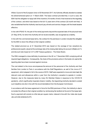Affairs Council of the European Union of 20 November 2017, the Authority officially decided to exercise the aforementioned option on 11 March 2020. The lease contract provided that, in such a case, the EBA had the obligation to repay half of the incentive (16 months of rent) it had received at the beginning of the contract, and which was based on the full 12 years term of the contract (32 month rent free). It also established that the Authority was bound pay all rents and service charges until the break became effective.

In line with IPSAS 19, the part of the rental payments beyond the expected date of the physical move (31 May 2019), for which the Authority will not receive benefits, was recognised as a liability.

In line with the commercial lease terms, the contract for the premises in London included the obligation for the EBA to return the offices to their original condition.

The related provision as at 31 December 2019 was based on the average of two valuations by professional experts valued at the exchange rate at the closing date taking into account inflation at 2 % and discount rate impact at 3.5 % (HM Treasury guidance – The Green Book).

The EBA managed to close definitely its premises in the UK on 7 December 2020 complying with all required legal obligations. Consequently, the share of the provisions active in the books not used at the reporting date have been reversed against revenue.

The cost related to the move encompasses the removal of the personnel of the Authority and their families from London to Paris in accordance with the Staff Regulations, as well of the move of IT equipment, which elapsed in full in the course of 2019. Staff were expected to move and claim back the relevant costs and allowances within a year from the Authority's cessation to operate in London. However, due to the measures taken by many EU Member States in response to the COVID-19 pandemic, which significantly impacted citizens' mobility, the Appointing Authority decided to extend such deadline sine die in line with the recommendations from the European Commission.

In accordance with the lease agreement in force for the EBA premises in Paris, the Authority is due to re-instate the offices to their original condition by reimbursing the landlord at the end of the lease term. Such a payment will consist on a flat rate per square metre, indexed in line with the *Index des loyers* des activités tertiaries (ILAT).

24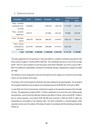#### 4. Deferred revenue

|                                                     | <b>Reversed</b> | <b>Additions</b><br>2019 | 2020        | <b>Thereof non-current</b> |           |           |
|-----------------------------------------------------|-----------------|--------------------------|-------------|----------------------------|-----------|-----------|
| <b>Description</b>                                  |                 |                          |             |                            | 2020      | 2019      |
| Paris-Landlord<br>contribution to fit-<br>out costs | 1,548,960       |                          | (185, 814)  | 1,363,146                  | 1,177,839 | 1,363,146 |
| Paris - Landlord<br>capital sum                     | 229,727         | -                        | (27, 558)   | 202,169                    | 174,686   | 202,169   |
| Paris - Rentfree<br>period                          | 1,480,755       | 965,430                  | (296, 507)  | 2,149,677                  | 1,853,170 | 1,184,247 |
| Paris-French<br>contribution to<br>rental costs     | 2,018,196       | 4,500,000                | (799, 466)  | 5,718,731                  | 4,941,428 |           |
| Total                                               | 5,277,638       | 5,465,430                | (1,309,345) | 9,433,722                  | 8,147,122 | 2,749,562 |

The lease agreement for the premises in Paris provided for a landlord contribution equivalent to the rental value of roughly 21 months (EUR 4 552 240). This contribution was due to cover for fit-out costs (EUR 1 916 271) and to benefit of a rent free period worth EUR 2 636 682. Out of this amount, EUR 1 668 775 qualified for capitalisation, whereas the remainder has been categorised as capital sum (EUR 247 496).

The deferred income recognised via the rent free period and the capital sum incentives are reversed evenly over the duration of the lease.

The totality of the rent free period contribution has been utilised by the reporting date. The reversal of the recognised deferred revenue against rent expenses amounts EUR 296 507 at the end of 2020.

In June 2018, the French Government confirmed its support to the relocation process of the Authority to Paris. The agreement included a EUR 1.5 million contribution to cover for the cost of fitting-out the new premises, used in full by the date the Authority took office in France, and an extra EUR 7 million to pay for rental expenses, out of which EUR 500,000 were received in 2020 and EUR 4 million are outstanding as receivables at the reporting date. The total contribution is reversed against rental expenses evenly over the duration of the lease (9 years) in accordance with the matching principle and IPSAS 23.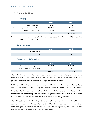## 5. Current liabilities

#### Current payables

|                                        | 2020      | 2019      |
|----------------------------------------|-----------|-----------|
| Payables to suppliers                  | 994.922   | 227,322   |
| Accrued charges - untaken annual leave | 982.642   | 721,843   |
| Accrued charges - other                | 1,683,822 | 2,034,698 |
| Total                                  | 3,661,387 | 2,983,862 |

Other accrued charges correspond to invoices to be received as at 31 December 2020 for services rendered in 2020, mainly for IT operational services.

#### Sundry payables

|                 | 2020                     | 2019                     |
|-----------------|--------------------------|--------------------------|
| Sundry payables | $\overline{\phantom{0}}$ | $\overline{\phantom{a}}$ |
| <b>Total</b>    |                          | $\overline{\phantom{a}}$ |

#### Payables towards EU entities

|                                       | 2020    | 2019      |
|---------------------------------------|---------|-----------|
| European Commission balancing subsidy | 858.651 | 1.027.082 |
| Other payables towards EU entities    | -       | 3.946     |
| Total                                 | 858,651 | 1,031,028 |

The contribution to repay to the European Commission corresponds to the budgetary result for the financial year 2020, which was determined on a modified cash basis. The detailed calculation is presented in the budget result (see section "Budget implementation reports").

In 2020, the EBA was financed by Union funds (EUR 17 660 140) and contributions from Member States and EFTA countries (EUR 29 055 682). According to Articles 16.5 and 17.1 of the EBA Financial Regulation, the Union contribution paid to the Authority constitutes a balancing contribution which is accounted for as pre-financing. If the balance of the budget result account is positive, it is to be repaid to the Commission up to the amount of the Union contribution paid during the year.

The EBA has therefore allocated 100% of the surplus to the European Commission. In 2022, and in accordance to the agreements reached between the EBA and the European Commission, should those still remain applicable, the Authority will recover the 60% of this budget result, which will be deducted from the Member States' and EFTA countries' contribution 2022.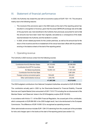## III. Statement of financial performance

In 2020, the Authority has closed the year with an economic surplus of EUR 7 631 119. The amount is mainly due to the following reasons:

- $\Rightarrow$  The reversal of the provisions open in the EBA books at the start of the reporting period has resulted in a recognition of revenue, given that the actual GBP/EUR exchange rate at the date of the payments was more beneficial to the Authority than previously accounted for and to that the amounts due have been lower than originally calculated as a consequence of the deals reached between the Authority and the landlord in London;
- $\Rightarrow$  In 2020, all rent related payments for the London premises, as well as the amount due for the return of the incentive and the re-instatement of the venue have been offset with the provisions existing in the balance sheet at the start of the reporting period;

#### 1. Operating revenue

|                                         | 2020       | 2019       |
|-----------------------------------------|------------|------------|
| Contribution from EU Member States      | 28,103,650 | 26,096,889 |
| <b>Contribution from EFTA Countries</b> | 798,399    | 741,388    |
| <b>EU Balancing Subsidy</b>             | 16,955,123 | 17,461,535 |
| Contribution from the Host State        |            | 1,981,804  |
| Foreign currency conversion gains       | 745,429    | 204.041    |
| Other administrative revenue            | 1.294.795  | 24,836     |
|                                         | 47,897,396 | 46,510,493 |

The Authority's 2020 revenue comes from the following sources:

The 2020 budgeted contributions from National Competent Authorities amounted to EUR 29 055 682.

The contribution actually paid in 2020 by the Directorate-General for Financial Stability, Financial Services and Capital Market Union amounted to EUR 17 813 773 including the re-imbursement of the Member States' and Observers' share in the 2018 Budgetary surplus (EUR 153 633).

In accordance with Article 17.1 of the EBA Financial Regulation, the unused part of this contribution, which corresponds to EUR 858 650 in the 2020 budget result, has to be reimbursed to the European Commission. The difference of EUR 16 955 123 is recognised as operating revenue.

Other administrative revenue includes EUR 1 294 315 stemming from the unused part of the provisions for risks and charges open in the books at the start of the reporting period (see section II.3).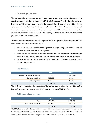## 2. Operating expenses

The implementation of the accounting quality programme has involved a revision of the usage of the operating expenses headings available in the EU Chart of Accounts (Plan des Comptes de l'Union Européenne). This review aimed at aligning the categorisation of expenses at the EBA with the guidance provided by the Accounting Officer of the European Commission. The exercise has resulted in material variances between the treatment of expenditure in 2020 and in previous periods. The amendments do however have no impact in the Authority's net assets, but only in the structure and presentation of the incurred expenses.

The structure and presentation of operating expenses has been adjusted to the requirements of the EU Chart of Accounts. This is reflected mainly in:

- $\Rightarrow$  Allowances paid to Seconded National Experts are no longer categorised under "Experts and related expenditure" but under "Staff expenses";
- $\Rightarrow$  Expenses incurred in relation to the maintenance of the EBA website services are no longer part of "IT support costs" but are now included under "Communications and legal expenses";
- $\Rightarrow$  All expenses incurred using the funds of Title III of the Authority's budget are now categorised as "Operating expenses";

|                                 | 2020       | 2019       |
|---------------------------------|------------|------------|
| Salaries and related allowances | 25,774,238 | 26,121,285 |
| Social contributions            | 762,362    | 830,322    |
| Staff perquisites               | 557,479    | 259,777    |
|                                 | 27,094,079 | 27,211,384 |

#### Staff expenses

The 2017 figures included the first recognition of the provision related to the relocation of the staff to France. This results in a decrease in the 2020 figures in an amount of EUR 319 761.

#### Building and related expenses

|                       | 2020      | 2019      |
|-----------------------|-----------|-----------|
| Rent                  | 1,787,756 | 1,568,369 |
| Rent related expenses | 879,540   | 1,581,274 |
|                       | 2,667,296 | 3,149,643 |

The 2018 figures included the recognition of the provisions for onerous rental costs, re-payment of the 16-month incentive and the re-instatement cost for the premises in London. In 2020, these costs were offset by the full reversal of the existing provisions at the start of the period (EUR 8 800 874).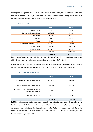Building related expenses are as well impacted by the reversal of the yearly share of the contribution from the Host State (EUR 799,466) and the reversal of the deferred income recognised as a result of the rent free period incentive (EUR 296,507) and the capital sum.

|                                 | 2020      | 2019      |
|---------------------------------|-----------|-----------|
| Office supplies                 | 206,540   | 160,867   |
| Communications and Legal        | 320,261   | 400,395   |
| Recruitment                     | 24,280    | 60,373    |
| Training                        | 201,855   | 202,239   |
| Travel                          | 9,137     | 156,696   |
| Experts and related expenditure | 298,065   | 71,064    |
| IT support costs                | 3,152,237 | 1,962,328 |
| Other services                  | 800,293   | 836,424   |
| Operational activities          | 3,121,183 | 5,330,715 |
|                                 | 8,133,850 | 9,181,101 |

#### Other expenses

Project costs for their part not capitalised amount to EUR 1 472 064. Cost incurred for other projects which do not meet the requirements for capitalisation amounts to EUR 1 068 102.

Operational activities include IT expenses corresponding essentially to IT Infrastructure costs, licence maintenance and consultancy working on the various IT projects for their part not capitalised.

#### Fixed asset related expenses

|                                                                     | 2020      | 2019      |
|---------------------------------------------------------------------|-----------|-----------|
| Depreciation of tangible fixed assets                               | 580,947   | 1,900,888 |
| Depreciation of intangible fixed assets                             | 1,191,860 | 1,043,485 |
| Amortisation of the offices re-instatement<br>cost for London/Paris | 133,623   | 777,969   |
| Amounts written-off                                                 | 326       | 156,037   |
|                                                                     | 1,906,756 | 3,878,378 |

In 2019, the fixed asset related expenses were still impacted by the accelerated depreciation of the London fit-outs, which then amounted to EUR 1 346 017. The same is applicable for the category comprising the amortisation of the dilapidation costs for the Authority's venues (the amortisation of the London re-instatement costs amounted in 2019 up to EUR 691 926). This has considerably reduced the expenses recognised in 2020.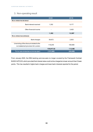## 3. Non-operating result

|                                                                                 | 2020       | 2019      |
|---------------------------------------------------------------------------------|------------|-----------|
| NON-OPERATING REVENUE                                                           |            |           |
| Bank interest received                                                          | 1,352      | 9,177     |
| Other financial income                                                          |            | 3,420     |
|                                                                                 | 1,352      | 12,597    |
| NON-OPERATING EXPENSES                                                          |            |           |
| Bank charges                                                                    | 39,672     | 2,503     |
| Unwinding of the discount related to the<br>re-instatement provision for London | 119,245    | 109,580   |
|                                                                                 | 158,917.02 | 112,082   |
| TOTAL NON-OPERATING ACTIVITIES (NET)                                            | (157, 565) | (99, 486) |

From January 2020, the EBA banking services were no longer covered by the Framework Contract BUDG14/PO/03, which provided that interest rates could not be charged at a lower amount than 0 basic points. This has resulted in higher bank charges and lower bank interests reported for the period.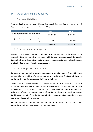## IV. Other significant disclosures

#### 1. Contingent liabilities

Contingent liabilities include the part of the outstanding budgetary commitments which have not yet been recognised as expenses as at 31 December 2020.

|                                          | 2020         | 2019        |  |
|------------------------------------------|--------------|-------------|--|
| Budgetary commitments carried forward to |              | 5,181,071   |  |
| 2021                                     | 4,130,831.26 |             |  |
| (Less) Expenses already recognised in    |              |             |  |
| 2020                                     | (1,712,367)  | (1,734,152) |  |
|                                          | 2,418,465    | 3,446,919   |  |

## 2. Events after the reporting date

At the date on which the accounts are authorised, no material issue came to the attention of the Accounting Officer of the Authority or were reported to him that would require separate disclosure under this section. The annual accounts and related notes were prepared using the most available information and this is reflected in the information presented above.

## 3. Operating lease commitments

Following an open competitive selection procedure, the Authority signed a 9-year office lease agreement for the new offices in Paris that entered into force on 10 May 2019, with a break clause that can be exercised after the completion of the 6<sup>th</sup> year of the lease.

The commercial terms of the agreement included a negotiated contribution from the landlord of EUR 4 552 240 in an amendment to the contract signed on 31 October 2018. Out of this contribution, EUR 1 916 271 elapsed in order to cover for fit-out costs, and the remainder of EUR 2 636 682 has been drawn up in the form of a rent-free period (see Note II.4). Should the Authority exercise the early break clause, the EBA would be liable for paying the landlord a flat-rate supplement corresponding to a sum equivalent to the marketing advantages.

In accordance with the lease agreement, and in substitution of a security deposit, the Authority gave the Landlord a bank guarantee equivalent to three months' rent.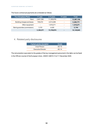The future contractual payments are scheduled as follows:

| <b>Tour Europlaza (Paris)</b> | <1 year                  | 2-5 years  | >5 years                 | Total      |
|-------------------------------|--------------------------|------------|--------------------------|------------|
| Rent                          | 2,601,280                | 11,359,878 | $\overline{\phantom{0}}$ | 13,961,158 |
| Building charges and taxes    | 749,472                  | 2,513,299  | $\overline{\phantom{0}}$ | 3,262,771  |
| Other equipment               | $\overline{\phantom{a}}$ | 1,916,271  | $\overline{\phantom{0}}$ | 1,916,271  |
| Bank guarantee (commission)   | 1.319                    | 4.426      | $\overline{\phantom{0}}$ | 5,744      |
|                               | 3,352,071                | 15,793,874 | -                        | 19,145,945 |

## 4. Related party disclosures

| Highest grades description | Grade |
|----------------------------|-------|
| Chair Person               | AD 15 |
| Executive Director         | AD 14 |

The remuneration equivalent to the grades of the key management personnel in the table can be found in the Official Journal of the European Union, 2020/C 428/10-13 of 11 December 2020.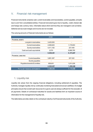## V. Financial risk management

Financial instruments comprise cash, current receivables and recoverables, current payables, amounts due to and from consolidated entities. Financial instruments give rise to liquidity, credit, interest rate and foreign rate currency risks. Information about which and how they are managed is set out below. Deferred and accrued charges and income are not included.

|                                        | 2020      | 2019      |
|----------------------------------------|-----------|-----------|
| <b>FINANCIAL ASSETS</b>                |           |           |
| Long term receivables                  | 3,425,000 |           |
| Current receivables                    | 2,069,625 | 1,179,903 |
| Sundry receivables                     | 4,411,182 | 227,458   |
| Cash and cash equivalents              | 2,574     | 6,966,785 |
|                                        | 9,908,381 | 8,373,947 |
| <b>FINANCIAL LIABILITIES</b>           |           |           |
| Current payables                       | 3,661,387 | 227,322   |
| Sundry payables                        |           |           |
| Payables towards EU entities           | 858,651   | 1,031,028 |
|                                        | 4,520,037 | 1,258,349 |
| <b>TOTAL NET FINANCIAL INSTRUMENTS</b> | 5,388,343 | 7,115,598 |

The carrying amounts of financial instruments are as follows:

#### 1. Liquidity risk

Liquidity risk arises from the ongoing financial obligations, including settlement of payables. The Authority manages liquidity risk by continually monitoring forecasted and actual cashflows. EU budget principles ensure that overall cash resources for a given year are always sufficient for the execution of all payments. Details of contractual maturities for assets and liabilities form an important source of information for the management of liquidity risk.

The table below provides detail on the contractual maturity of all financial instruments of the Authority: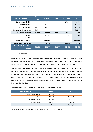| As at 31.12.2020                                 | On<br>demand | <1 year   | 1-2 years | >2 years  | Total     |
|--------------------------------------------------|--------------|-----------|-----------|-----------|-----------|
| Long term receivables                            | ۰            |           | 1,150,000 | 2,275,000 | 3,425,000 |
| <b>Current receivables</b>                       |              | 2,069,625 |           |           | 2,069,625 |
| Sundry receivables                               | 4,300,276    | 110,905   | -         |           | 4,411,182 |
| Cash and cash equivalents                        | 2,574        |           |           |           | 2.574     |
| Total financial assets (A)                       | 4,302,851    | 2,180,530 | 1,150,000 | 2,275,000 | 9,908,381 |
| Payables                                         |              | 2,508,959 |           | 1,199,405 | 3,708,364 |
| Sundry payables                                  | ٠            |           | ۰         |           |           |
| Payables to EU entities                          | ۰            | 858,651   | ٠         |           | 858,651   |
| Total financial liabilities (B)                  |              | 3,367,610 |           | 1,199,405 | 4,567,015 |
| <b>CUMULATIVE LIQUIDITY GAP</b><br>$(A)$ - $(B)$ | 4,302,851    | 3,115,771 | 4,625,771 | 5,341,366 | 5,341,366 |

#### 2. Credit risk

Credit risk is the risk of loss due to a debtor's/borrower's non-payment of a loan or other line of credit (either the principal or interest or both) or other failure to meet a contractual obligation. The default events include a delay in repayments, restructuring of borrower repayments and bankruptcy.

Treasury resources are kept with the EC since September 2020. The EBA recovers contributions from national supervisory authorities and the European Commission two or more times per year to ensure appropriate cash management and to maintain a minimum cash balance on its bank account. This is with a view to limit its risk exposure. Requests to the European Commission are accompanied by cash forecasts.Following the externalisation of the treasury to the EC, the counterparty risk to which the EBA is exposed is minimized.

| As at 31.12.2020      | 2020      | 2019                     |
|-----------------------|-----------|--------------------------|
| Long term receivables | 3,425,000 | $\overline{\phantom{0}}$ |
| Current receivables   | 1,494,625 | 1,179,703                |
| Other receivables     | 4,411,182 | 227,458                  |
| Cash in banks         | 2,574     | 6,966,785                |
|                       | 9,908,381 | 8,373,947                |

The table below shows the maximum exposure to credit risk by the EBA:

The Authority's open receivables are mainly issued against sovereign entities.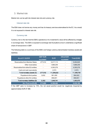#### 3. Market risk

Market risk can be split into interest rate risk and currency risk.

#### Interest rate risk

The EBA does not borrow any money and has its treasury services externalised to the EC. As a result, it is not exposed to interest rate risk.

#### Currency risk

Currency risk is the risk that the EBA's operations or its investment's value will be affected by changes in exchange rates. The EBA is exposed to exchange rate fluctuations since it undertakes a significant share of transactions in GBP.

The following table is a summary of the EBA's net foreign currency-denominated monetary assets and liabilities:

| As at 31.12.2019                   | <b>GBP EUR</b><br>equivalent | <b>EUR</b> | <b>Other EUR</b><br>equivalent | Total (EUR) |
|------------------------------------|------------------------------|------------|--------------------------------|-------------|
| Receivables from Member States     | 277,512                      | 5,217,113  |                                | 5,494,625   |
| Other receivables                  |                              | 1,688,259  |                                | 1,688,259   |
| Receivables from other EU entities |                              | 4,300,276  |                                | 4,300,276   |
| Cash and cash equivalents          |                              | 2.574      |                                | 2,574       |
| Total monetary assets (C)          | 277,512                      | 11,208,222 |                                | 11,485,735  |
| Payables to third parties          | 3,832                        | 991,090    |                                | 994,922     |
| Payables to other EU entities      |                              | 858,651    |                                | 858,651     |
| Total monetary liabilities (D)     | 3,832                        | 1,849,741  |                                | 1,853,573   |
| <b>NET POSITION (C)-(D)</b>        | 273,680                      | 9,358,482  |                                | 9,632,162   |

If the GBP were to increase by 10%, the net asset position would be negatively impacted by approximately EUR 27 368.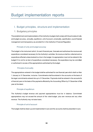# Budget implementation reports

## I. Budget principles, structure and implementation

#### 1. Budgetary principles

The establishment and implementation of the Authority's budget shall comply with the principles of unity and budget accuracy, annuality, equilibrium, unit of account, universality, specification, sound financial management and transparency as provided for in the Authority's Financial Regulation.

#### Principle of unity and budget accuracy

The budget is the instrument which, for each financial year, forecasts and authorises the revenue and expenditure considered necessary for the Authority's activities. No revenue shall be collected and no expenditure effected unless booked to a line in the budget. An appropriation must not be entered in the budget if it is not for an item of expenditure considered necessary. No expenditure may be committed or authorised in excess of the appropriations authorised by the budget.

#### Principle of annuality

The appropriations entered in the budget shall be authorised for one financial year which shall run from 1 January to 31 December, inclusive. Commitments shall be entered in the accounts on the basis of the legal commitments entered into up to 31 December. Payments shall be entered in the accounts for a financial year on the basis of the payments effected by the Accounting Officer by 31 December of that year at the latest.

#### Principle of equilibrium

The Authority's budget revenue and payment appropriations must be in balance. Commitment appropriations may not exceed the amount of the voted budget, plus own revenue and any other revenue. The Authority may not raise loans.

#### Principle of unit of account

The budget shall be drawn up and implemented in euro and the accounts shall be presented in euro.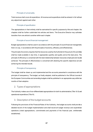#### Principle of universality

Total revenue shall cover all expenditure. All revenue and expenditure shall be entered in full without any adjustment against each other.

#### Principle of specification

The appropriations in their entirety shall be earmarked for specific purposes by title and chapter; the chapters shall be further subdivided into articles and items. The Executive Director may authorise transfers from one article to another within each chapter.

#### Principle of sound financial management

Budget appropriations shall be used in accordance with the principle of sound financial management, that is to say, in accordance with the principles of economy, efficiency and effectiveness.

The principle of economy requires that the resources used by the Authority for the pursuit of its activities shall be made available in due time, in appropriate quantity and quality and at the best price. The principle of efficiency is concerned with the best relationship between resources employed and results achieved. The principle of effectiveness is concerned with attaining the specific objectives set and achieving the intended results.

#### Principle of transparency

The budget shall be drawn up and implemented and the accounts presented in compliance with the principle of transparency. The budget, as finally adopted, shall be published in the Official Journal of the European Communities and amending budgets shall be published in an appropriate way within two months of their adoption.

#### 2. Types of appropriations

The Authority makes use of non-differentiated appropriations for both its administrative (Title I & II) and operational expenditure (Title III).

#### 3. Description of the budget accounts

Following the provisions of the Financial Rules of the Authority, the budget accounts shall provide a detailed record of the budget implementation and shall record all budget revenue and expenditure operations (voted appropriations, commitments and payments of the financial year, entitlements established).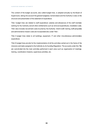The content of the budget accounts, also called budget lines, is adopted annually by the Board of Supervisors, taking into account the general budgetary nomenclature and the Authority's rules on the structure and presentation of the statement of expenditure.

Title I budget lines are related to staff expenditure: salaries and allowances of the staff members working for the Authority and all other entitlements such as removal expenditures, installation costs. Title I also includes recruitment costs incurred by the Authority. Interim staff, training, staff perquisites and administrative mission costs are incorporated also under Title I.

Title II budget lines relate to all buildings, equipment, IT and other miscellaneous administrative expenditure.

Title III budget lines provide for the implementation of all the activities carried out in the frame of the missions and tasks assigned to the Authority by its founding Regulation. The accounts under this Title are sub-divided into the main activities performed in each area such as organisation of meetings, training, coordination missions, supervisory activities, etc.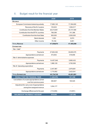## II. Budget result for the financial year

|                                               | 2020        | 2019       |
|-----------------------------------------------|-------------|------------|
| <b>REVENUE</b>                                |             |            |
| European Commission balancing subsidy         | 17,660,140  | 17,394,600 |
| Recovery of the N-2 surplus                   | 153,633     | 1,094,017  |
| Contribution from the Member States           | 28,315,961  | 25,737,569 |
| Contribution from the EFTA countries          | 798,399     | 741,388    |
| Contribution from the Host State              | 500,000     | 2,500,000  |
| <b>Bank interests</b>                         | 1,352       | 8,974      |
| Other income                                  | 79,184      | 6,851      |
| <b>TOTAL REVENUE</b>                          | 47,508,670  | 47,483,399 |
| <b>EXPENDITURE</b>                            |             |            |
| Title I: Staff                                |             |            |
| Payments                                      | 27,652,363  | 30,655,575 |
| Appropriations carried over                   | 472,842     | 818,656    |
| Title II: Administrative expenses             |             |            |
| Payments                                      | 14,457,546  | 5,965,432  |
| Appropriations carried over                   | 1,988,129   | 3,762,006  |
| Title III: Operating expenditure              |             |            |
| Payments                                      | 2,447,967   | 2,976,681  |
| Appropriations carried over                   | 1,715,902   | 2,423,541  |
| <b>TOTAL EXPENDITURE</b>                      | 48,734,748  | 46,601,891 |
| <b>RESULT FOR THE FINANCIAL YEAR</b>          | (1,226,078) | 881,508    |
| Cancellation of unused appropriations carried | 360,807     | 160,525    |
| over from previous years                      |             |            |
| Adjustment for carry-over of appropriations   | 1,834,177   |            |
| arising from assigned revenue                 |             |            |
| Exchange differences for the year             | (110, 256)  | (14, 951)  |
| <b>BALANCE OF THE RESULT ACCOUNT</b>          | 858,650     | 1,027,082  |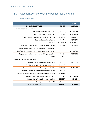## III. Reconciliation between the budget result and the economic result

|                                                           | 2020           | 2019                     |
|-----------------------------------------------------------|----------------|--------------------------|
| <b>ECONOMIC OUTTURN</b>                                   | 7,631,119      | 2,277,099                |
| <b>ADJUSTMENT FOR ACCRUAL ITEMS</b>                       |                |                          |
| Adjustment for accrual cut-off N-1                        | (1,831,148)    | (1,078,060)              |
| Adjustment for accrual cut-off N                          | 680,323        | (2,728,760)              |
| Unpaid invoices at year end but booked in charges         | 258,372        | (65, 197)                |
| Depreciation and amortisation                             | 1,906,756      | 3,878,378                |
| Provisions                                                | (10, 747, 201) | (1, 102, 151)            |
| Recovery orders booked in revenue not yet cashed          | (147, 488)     | (382, 957)               |
| Pre-financing given in previous years and cleared in N    |                | 81,631                   |
| Pre-financing received in previous years and cleared in N |                | (1,500,000)              |
| Payments made from carry-over of N-1 appropriations       | 4,809,219      | 6,286,232                |
| Other                                                     | 66,993         |                          |
| ADJUSTMENT FOR BUDGETARY ITEMS                            |                |                          |
| Asset acquisitions (less unpaid amounts)                  | (1,487,779)    | (840, 735)               |
| Pre-financing paid in N and open at 31.12.N               | (13, 169)      |                          |
| Pre-financing received in N and open at 31.12.N           | 858,650        | 3,045,279                |
| Recovery orders issued before N and cashed in N           | 359,320        |                          |
| Cashed recovery orders issued against balance sheet items | 496,571        | $\overline{\phantom{a}}$ |
| Payment appropriations carried over to N+1                | (4, 176, 872)  | (7,004,203)              |
| Cancellation of unused n-1 appropriations                 | 360,807        | 160,525                  |
| Adjustment for carry-over of assigned revenue from N-1    | 1,834,177      |                          |
| <b>BUDGET RESULT</b>                                      | 858,650        | 1,027,082                |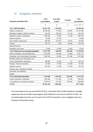## IV. Budgetary transfers

| Budgetary expenditure 2020                       | <b>Initial</b><br>appropriations | Amending<br>budget | <b>Transfers</b> | Final<br>appropriations |  |
|--------------------------------------------------|----------------------------------|--------------------|------------------|-------------------------|--|
|                                                  | А                                | B                  | C                | $D = A + B + C$         |  |
| <b>Title 1 Staff expenditure</b>                 | 29 647 145                       | -1 550 500         |                  | 28 096 645              |  |
| Salaries & allowances                            | 25 368 528                       | $-719500$          | 108 967          | 24 757 995              |  |
| Expenditure relating to Staff recruitment        | 834 576                          | $-383000$          | $-64$ 134        | 387 442                 |  |
| Employer's pension contributions                 | 1882 934                         | $-70025$           | 31 325           | 1844 234                |  |
| Mission expenses                                 | 85 866                           | $-67000$           |                  | 18 866                  |  |
| Socio-medical infrastructure                     | 994 438                          | $-231975$          | $-32973$         | 729 490                 |  |
| Training                                         | 407 173                          | $-7000$            | $-56005$         | 344 168                 |  |
| <b>External Services</b>                         |                                  |                    |                  |                         |  |
| Receptions and events                            | 73 630                           | $-72000$           | 12 8 20          | 14 450                  |  |
| Title 2 Infrastructure and operating expenditure | 13 573 768                       | $-228000$          | 853 656          | 14 199 424              |  |
| Rental of buildings and associated costs         | 9412676                          | $-150000$          | $-40.963$        | 9 2 2 1 7 1 3           |  |
| Information and communication technology         | 3 040 165                        | $-24000$           | 721 085          | 3737250                 |  |
| Movable property and associated costs            |                                  |                    |                  |                         |  |
| Current administrative expenditure               | 538 952                          | $-15000$           | 121              | 524 073                 |  |
| Postage / Telecommunications                     | 84 000                           | $-18000$           | 115 655          | 181 655                 |  |
| Meeting expenses                                 | 497 975                          | $-21000$           | 57 758           | 534 733                 |  |
| Running costs - operational activities           | $\blacksquare$                   |                    | $\blacksquare$   |                         |  |
| Information and publishing                       | $\blacksquare$                   |                    | $\blacksquare$   |                         |  |
| <b>Studies</b>                                   |                                  |                    |                  |                         |  |
| <b>Title 3 Operational expenditure</b>           | 7 160 909                        | $-1887500$         | $-853656$        | 4 4 1 9 7 5 3           |  |
| General operational expenditure                  | 3 284 690                        | $-1310500$         | $-23336$         | 1950 854                |  |
| IT expenditure for operational purposes          | 3876219                          | $-577000$          | $-830320$        | 2 468 899               |  |
| <b>TOTAL</b>                                     | 50 381 822                       | $-3666000$         | $\blacksquare$   | 46 715 822              |  |

The initial budget for the year was EUR 50 381 822. In November 2020, the BoS adopted an amending budget that reduced the EBA's total budget by EUR 3 666 000 to the amount of EUR 46 715 822. The amending budget was driven by the impact of the COVID-19 pandemic, plus a negligible reduction in funding for Sustainable Finance.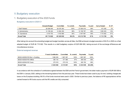## V.Budgetary execution

### 1. Budgetary execution of the 2020 funds

#### Budgetary execution in 2020 C1

|                    | <b>Adopted Budget</b> | Committed  | % commit. | Payments   | % paid | Carry forward | <b>% CF</b> |
|--------------------|-----------------------|------------|-----------|------------|--------|---------------|-------------|
| I: Staff Related   | 28 096 645            | 28 078 383 | 100%      | 27 606 018 | 98%    | 472 365       | 2%          |
| II: Administrative | 14 199 424            | 14 084 250 | 99%       | 12 158 797 | 86%    | 1 925 453     | 14%         |
| III: Operational   | 4 4 1 9 7 5 3         | 4 163 869  | 94%       | 2447967    | 59%    | 1 7 1 5 9 0 2 | 41%         |
| <b>Grand Total</b> | 46 715 822            | 46 326 502 | 99.2%     | 42 212 782 | 91%    | 4 113 720     | 9%          |

After taking into account the amending budget and budget transfers across all titles, the EBA achieved a budget execution of 99.2% in 2020 on a final adopted budget of EUR 46 715 822. This results in a draft budgetary surplus of EUR 858 650, taking account of the exchange differences and miscellaneous revenue.

#### External assigned revenue

|                                  | <b>French Contribution</b> | Committed | % commit. | <b>Payments</b> | % paid |
|----------------------------------|----------------------------|-----------|-----------|-----------------|--------|
| B2020-A02000-R0-Rent of building | 668 000                    | 667 957   | 100%      | 667957          | 100%   |
| B2020-A02020-R0-Utilities        | 385 144                    | 371 986   | 97%       | 365 030         | 98%    |
| B2020-A02040-R0-Taxes            | 275 918                    | 275 918   | 100%      | 265 762         | 96%    |
| <b>Grand Total</b>               | 2 3 2 9 0 6 2              | 2 315 861 | 99%       | 2 2 3 4 6 3 5   | 99.26% |

In accordance with the schedule of contributions agreed between the EBA and the French government, the latter made a payment of EUR 500 000 to the EBA in January 2020, adding to the remaining balance from the previous year. These funds have been used to pay for rent, building charges and taxes on the Europlaza building: 99.5% of the funds received were used in 2020. Similar to previous years, the balance of R0 appropriations will be carried forward to R0 funds source until the R0 credits are fully consumed.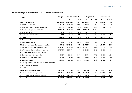The detailed budget implementation in 2020 (C1) by chapter is as follows:

| Chapter                                                    | <b>Budget</b> | <b>Total commitments</b> |           | <b>Total payments</b> |           | Carry forward |           |
|------------------------------------------------------------|---------------|--------------------------|-----------|-----------------------|-----------|---------------|-----------|
|                                                            | Α             | B                        | $C = B/A$ | D                     | $E = D/B$ | F             | $G = F/B$ |
| <b>Title 1 Staff expenditure</b>                           | 28 096 645    | 28 078 383               | 100%      | 27 606 018            | 98%       | 472 365       | 2%        |
| 11 Salaries & allowances                                   | 24 757 995    | 24 757 979               | 100%      | 24 756 187            | 100%      | 1 7 9 2       | $0\%$     |
| 12 Expenditure relating to Staff recruitment               | 387 442       | 385 072                  | 99%       | 383 918               | 100%      | 1 1 5 4       | $0\%$     |
| 11.33 Employer's pension contributions                     | 1844 234      | 1844 233                 | 100%      | 1844 233              | 100%      |               | $0\%$     |
| 13 Mission expenses                                        | 18 866        | 15 617                   | 83%       | 15 579                | 100%      | 38            | $0\%$     |
| 14 Socio-medical infrastructure                            | 729 490       | 719 568                  | 99%       | 404 817               | 56%       | 314 751       | 44%       |
| 15 Training                                                | 344 168       | 341 469                  | 99%       | 186 839               | 55%       | 154 630       | 45%       |
| 16 External Services                                       |               |                          |           |                       |           |               |           |
| 17 Receptions and events                                   | 14 450        | 14 4 45                  | 100%      | 14 4 45               | 100%      |               | $0\%$     |
| Title 2 Infrastructure and operating expenditure           | 14 199 424    | 14 084 250               | 99%       | 12 158 797            | 86%       | 1 925 453     | 14%       |
| 20 Rental of buildings and associated costs                | 9 2 2 1 7 1 3 | 9 192 338                | 100%      | 9 114 079             | 99%       | 78 259        | $1\%$     |
| 21 Information and communication technology                | 3737250       | 3 655 758                | 98%       | 2 163 660             | 59%       | 1 492 098     | 41%       |
| 22 Movable property and associated costs                   |               |                          |           |                       |           |               |           |
| 23 Current administrative expenditure                      | 524 073       | 522 311                  | 100%      | 404 713               | 77%       | 117 599       | 23%       |
| 24 Postage / Telecommunications                            | 181 655       | 181 300                  | 100%      | 156 840               | 87%       | 24 459        | 13%       |
| 25 Meeting expenses                                        | 534 733       | 532 542                  | 100%      | 319 504               | 60%       | 213 038       | 40%       |
| 26 Running costs in connection with operational activities |               |                          |           |                       |           |               |           |
| 27 Information and publishing                              |               |                          |           |                       |           |               |           |
| 28 Studies                                                 |               |                          |           |                       |           |               |           |
| Title 3 Operational expenditure                            | 4 4 1 9 7 5 3 | 4 163 869                | 94%       | 2 447 967             | 59%       | 1 715 902     | 41%       |
| 31 General operational expenditure                         | 1 950 854     | 1749819                  | 90%       | 1 152 609             | 66%       | 597 210       | 34%       |
| 32 IT expenditure for operational purposes                 | 2468899       | 2 414 050                | 98%       | 1 295 358             | 54%       | 1 118 691     | 46%       |
| <b>Grand Total</b>                                         | 46 715 822    | 46 326 501               | 99.2%     | 42 212 782            | 91%       | 4 113 719     | 9%        |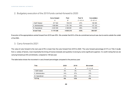|                    | Carry forward | Paid      | Paid %    | Cancellation |
|--------------------|---------------|-----------|-----------|--------------|
|                    | А             | Β         | $C = B/A$ | $D = B - A$  |
| I: Staff Related   | 817 622       | 708 818   | -87%      | 108 805      |
| II: Administrative | 1928 864      | 1 791 740 | -93%      | 137 123      |
| III: Operational   | 2423540       | 2 308 661 | $-95%$    | 114 879      |
| <b>Grand Total</b> | 5 170 026     | 4809219   | -93%      | 360807       |

#### 2. Budgetary execution of the 2019 funds carried-forward to 2020

Execution of the appropriations carried forward from 2019 was 93%. We consider that 54% of the de-commitment amount was due to events outside the control of the EBA.

#### 3. Carry-forward to 2021

The value of carry forward to the next year of 9% is lower than the carry forward from 2019 to 2020. The carry forward percentage of 41% on Title 3 results from a variety of factors, most importantly the timing of license renewals and quarterly invoicing by some significant suppliers. It is worth noting that we are carrying forward just 95 commitments, compared to 149 last year.

The table below shows the movement in carry forward percentages compared to the previous year:

| Title              | 2020 | 2019 | <b>Movement</b> |
|--------------------|------|------|-----------------|
|                    | Α    | В    | $C = A - B$     |
| I: Staff-related   | 2%   | 3%   | $-1%$           |
| II: Administrative | 14%  | 27%  | $-13%$          |
| III: Operational   | 41%  | 45%  | $-4%$           |
| <b>TOTAL</b>       | 9%   | 12%  | $-3%$           |